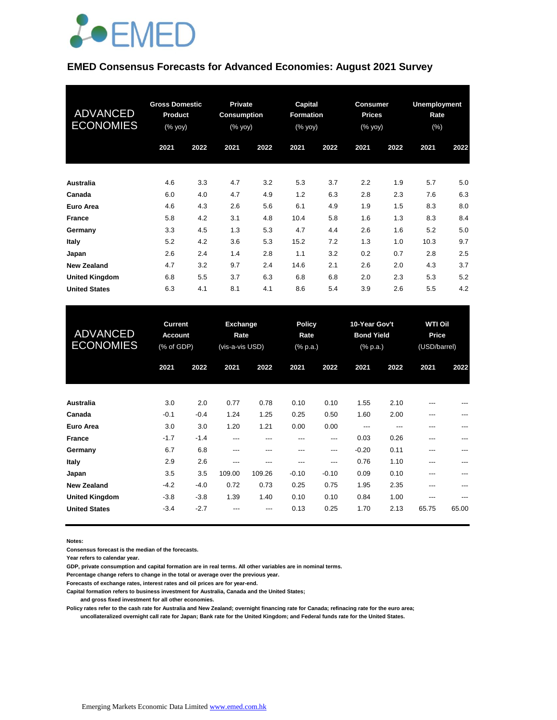

#### **EMED Consensus Forecasts for Advanced Economies: August 2021 Survey**

| <b>ADVANCED</b><br><b>ECONOMIES</b> | <b>Gross Domestic</b><br><b>Product</b><br>(% yoy) |      | <b>Private</b><br><b>Consumption</b><br>(% yoy) |      | Capital<br><b>Formation</b><br>(% yoy) |      | <b>Consumer</b><br><b>Prices</b><br>(% yoy) |      | <b>Unemployment</b><br>Rate<br>$(\%)$ |      |
|-------------------------------------|----------------------------------------------------|------|-------------------------------------------------|------|----------------------------------------|------|---------------------------------------------|------|---------------------------------------|------|
|                                     | 2021                                               | 2022 | 2021                                            | 2022 | 2021                                   | 2022 | 2021                                        | 2022 | 2021                                  | 2022 |
| Australia                           | 4.6                                                | 3.3  | 4.7                                             | 3.2  | 5.3                                    | 3.7  | 2.2                                         | 1.9  | 5.7                                   | 5.0  |
| Canada                              | 6.0                                                | 4.0  | 4.7                                             | 4.9  | 1.2                                    | 6.3  | 2.8                                         | 2.3  | 7.6                                   | 6.3  |
| Euro Area                           | 4.6                                                | 4.3  | 2.6                                             | 5.6  | 6.1                                    | 4.9  | 1.9                                         | 1.5  | 8.3                                   | 8.0  |
| <b>France</b>                       | 5.8                                                | 4.2  | 3.1                                             | 4.8  | 10.4                                   | 5.8  | 1.6                                         | 1.3  | 8.3                                   | 8.4  |
| Germany                             | 3.3                                                | 4.5  | 1.3                                             | 5.3  | 4.7                                    | 4.4  | 2.6                                         | 1.6  | 5.2                                   | 5.0  |
| Italy                               | 5.2                                                | 4.2  | 3.6                                             | 5.3  | 15.2                                   | 7.2  | 1.3                                         | 1.0  | 10.3                                  | 9.7  |
| Japan                               | 2.6                                                | 2.4  | 1.4                                             | 2.8  | 1.1                                    | 3.2  | 0.2                                         | 0.7  | 2.8                                   | 2.5  |
| <b>New Zealand</b>                  | 4.7                                                | 3.2  | 9.7                                             | 2.4  | 14.6                                   | 2.1  | 2.6                                         | 2.0  | 4.3                                   | 3.7  |
| <b>United Kingdom</b>               | 6.8                                                | 5.5  | 3.7                                             | 6.3  | 6.8                                    | 6.8  | 2.0                                         | 2.3  | 5.3                                   | 5.2  |
| <b>United States</b>                | 6.3                                                | 4.1  | 8.1                                             | 4.1  | 8.6                                    | 5.4  | 3.9                                         | 2.6  | 5.5                                   | 4.2  |

| <b>ADVANCED</b><br><b>ECONOMIES</b> | <b>Current</b><br><b>Account</b><br>(% of GDP) |        | <b>Exchange</b><br>Rate<br>(vis-a-vis USD) |        |         | <b>Policy</b><br>Rate<br>(% p.a.) |         | 10-Year Gov't<br><b>Bond Yield</b><br>$(%$ (% p.a.) |       | <b>WTI Oil</b><br>Price<br>(USD/barrel) |  |
|-------------------------------------|------------------------------------------------|--------|--------------------------------------------|--------|---------|-----------------------------------|---------|-----------------------------------------------------|-------|-----------------------------------------|--|
|                                     | 2021                                           | 2022   | 2021                                       | 2022   | 2021    | 2022                              | 2021    | 2022                                                | 2021  | 2022                                    |  |
| <b>Australia</b>                    | 3.0                                            | 2.0    | 0.77                                       | 0.78   | 0.10    | 0.10                              | 1.55    | 2.10                                                | $---$ | ---                                     |  |
| Canada                              | $-0.1$                                         | $-0.4$ | 1.24                                       | 1.25   | 0.25    | 0.50                              | 1.60    | 2.00                                                | ---   | ---                                     |  |
| Euro Area                           | 3.0                                            | 3.0    | 1.20                                       | 1.21   | 0.00    | 0.00                              | ---     | ---                                                 | ---   | ---                                     |  |
| <b>France</b>                       | $-1.7$                                         | $-1.4$ | ---                                        | ---    | ---     | ---                               | 0.03    | 0.26                                                | ---   | ---                                     |  |
| Germany                             | 6.7                                            | 6.8    | ---                                        | ---    | ---     | ---                               | $-0.20$ | 0.11                                                | ---   | ---                                     |  |
| Italy                               | 2.9                                            | 2.6    | ---                                        | ---    | ---     | ---                               | 0.76    | 1.10                                                | $---$ | ---                                     |  |
| Japan                               | 3.5                                            | 3.5    | 109.00                                     | 109.26 | $-0.10$ | $-0.10$                           | 0.09    | 0.10                                                | $---$ | ---                                     |  |
| <b>New Zealand</b>                  | $-4.2$                                         | $-4.0$ | 0.72                                       | 0.73   | 0.25    | 0.75                              | 1.95    | 2.35                                                | ---   | ---                                     |  |
| <b>United Kingdom</b>               | $-3.8$                                         | $-3.8$ | 1.39                                       | 1.40   | 0.10    | 0.10                              | 0.84    | 1.00                                                | ---   | ---                                     |  |
| <b>United States</b>                | $-3.4$                                         | $-2.7$ | ---                                        | ---    | 0.13    | 0.25                              | 1.70    | 2.13                                                | 65.75 | 65.00                                   |  |

**Notes:** 

**Consensus forecast is the median of the forecasts.**

**Year refers to calendar year.**

**GDP, private consumption and capital formation are in real terms. All other variables are in nominal terms.**

**Percentage change refers to change in the total or average over the previous year.**

**Forecasts of exchange rates, interest rates and oil prices are for year-end.**

**Capital formation refers to business investment for Australia, Canada and the United States;**

 **and gross fixed investment for all other economies.**

**Policy rates refer to the cash rate for Australia and New Zealand; overnight financing rate for Canada; refinacing rate for the euro area; uncollateralized overnight call rate for Japan; Bank rate for the United Kingdom; and Federal funds rate for the United States.**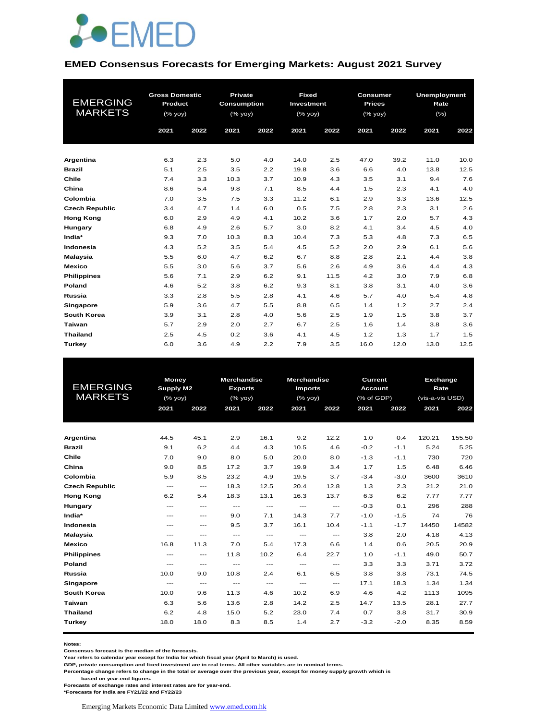

#### **EMED Consensus Forecasts for Emerging Markets: August 2021 Survey**

| <b>EMERGING</b><br><b>MARKETS</b> | <b>Gross Domestic</b><br>Product<br>(% yoy)<br>2021 | 2022 | <b>Private</b><br><b>Consumption</b><br>(% yoy)<br>2021 | 2022 | <b>Fixed</b><br>Investment<br>(%<br>2021 | 2022 | <b>Consumer</b><br><b>Prices</b><br>(% yoy)<br>2021 | 2022 | <b>Unemployment</b><br>Rate<br>(%)<br>2021 | 2022 |
|-----------------------------------|-----------------------------------------------------|------|---------------------------------------------------------|------|------------------------------------------|------|-----------------------------------------------------|------|--------------------------------------------|------|
|                                   |                                                     |      |                                                         |      |                                          |      |                                                     |      |                                            |      |
| Argentina                         | 6.3                                                 | 2.3  | 5.0                                                     | 4.0  | 14.0                                     | 2.5  | 47.0                                                | 39.2 | 11.0                                       | 10.0 |
| <b>Brazil</b>                     | 5.1                                                 | 2.5  | 3.5                                                     | 2.2  | 19.8                                     | 3.6  | 6.6                                                 | 4.0  | 13.8                                       | 12.5 |
| Chile                             | 7.4                                                 | 3.3  | 10.3                                                    | 3.7  | 10.9                                     | 4.3  | 3.5                                                 | 3.1  | 9.4                                        | 7.6  |
| China                             | 8.6                                                 | 5.4  | 9.8                                                     | 7.1  | 8.5                                      | 4.4  | 1.5                                                 | 2.3  | 4.1                                        | 4.0  |
| Colombia                          | 7.0                                                 | 3.5  | 7.5                                                     | 3.3  | 11.2                                     | 6.1  | 2.9                                                 | 3.3  | 13.6                                       | 12.5 |
| <b>Czech Republic</b>             | 3.4                                                 | 4.7  | 1.4                                                     | 6.0  | 0.5                                      | 7.5  | 2.8                                                 | 2.3  | 3.1                                        | 2.6  |
| <b>Hong Kong</b>                  | 6.0                                                 | 2.9  | 4.9                                                     | 4.1  | 10.2                                     | 3.6  | 1.7                                                 | 2.0  | 5.7                                        | 4.3  |
| Hungary                           | 6.8                                                 | 4.9  | 2.6                                                     | 5.7  | 3.0                                      | 8.2  | 4.1                                                 | 3.4  | 4.5                                        | 4.0  |
| India*                            | 9.3                                                 | 7.0  | 10.3                                                    | 8.3  | 10.4                                     | 7.3  | 5.3                                                 | 4.8  | 7.3                                        | 6.5  |
| Indonesia                         | 4.3                                                 | 5.2  | 3.5                                                     | 5.4  | 4.5                                      | 5.2  | 2.0                                                 | 2.9  | 6.1                                        | 5.6  |
| <b>Malaysia</b>                   | 5.5                                                 | 6.0  | 4.7                                                     | 6.2  | 6.7                                      | 8.8  | 2.8                                                 | 2.1  | 4.4                                        | 3.8  |
| <b>Mexico</b>                     | 5.5                                                 | 3.0  | 5.6                                                     | 3.7  | 5.6                                      | 2.6  | 4.9                                                 | 3.6  | 4.4                                        | 4.3  |
| <b>Philippines</b>                | 5.6                                                 | 7.1  | 2.9                                                     | 6.2  | 9.1                                      | 11.5 | 4.2                                                 | 3.0  | 7.9                                        | 6.8  |
| Poland                            | 4.6                                                 | 5.2  | 3.8                                                     | 6.2  | 9.3                                      | 8.1  | 3.8                                                 | 3.1  | 4.0                                        | 3.6  |
| <b>Russia</b>                     | 3.3                                                 | 2.8  | 5.5                                                     | 2.8  | 4.1                                      | 4.6  | 5.7                                                 | 4.0  | 5.4                                        | 4.8  |
| Singapore                         | 5.9                                                 | 3.6  | 4.7                                                     | 5.5  | 8.8                                      | 6.5  | 1.4                                                 | 1.2  | 2.7                                        | 2.4  |
| South Korea                       | 3.9                                                 | 3.1  | 2.8                                                     | 4.0  | 5.6                                      | 2.5  | 1.9                                                 | 1.5  | 3.8                                        | 3.7  |
| Taiwan                            | 5.7                                                 | 2.9  | 2.0                                                     | 2.7  | 6.7                                      | 2.5  | 1.6                                                 | 1.4  | 3.8                                        | 3.6  |
| <b>Thailand</b>                   | 2.5                                                 | 4.5  | 0.2                                                     | 3.6  | 4.1                                      | 4.5  | 1.2                                                 | 1.3  | 1.7                                        | 1.5  |
| Turkey                            | 6.0                                                 | 3.6  | 4.9                                                     | 2.2  | 7.9                                      | 3.5  | 16.0                                                | 12.0 | 13.0                                       | 12.5 |

|                       | <b>Money</b> |                                          | <b>Merchandise</b> |       |                | <b>Merchandise</b><br>Current |                |        | Exchange        |        |
|-----------------------|--------------|------------------------------------------|--------------------|-------|----------------|-------------------------------|----------------|--------|-----------------|--------|
| <b>EMERGING</b>       | Supply M2    |                                          | <b>Exports</b>     |       | <b>Imports</b> |                               | <b>Account</b> |        | Rate            |        |
| <b>MARKETS</b>        | (% yoy)      |                                          | $(\%$ yoy)         |       | (% yoy)        |                               | (% of GDP)     |        | (vis-a-vis USD) |        |
|                       | 2021         | 2022                                     | 2021               | 2022  | 2021           | 2022                          | 2021           | 2022   | 2021            | 2022   |
|                       |              |                                          |                    |       |                |                               |                |        |                 |        |
|                       |              |                                          |                    |       |                |                               |                |        |                 |        |
| Argentina             | 44.5         | 45.1                                     | 2.9                | 16.1  | 9.2            | 12.2                          | 1.0            | 0.4    | 120.21          | 155.50 |
| <b>Brazil</b>         | 9.1          | 6.2                                      | 4.4                | 4.3   | 10.5           | 4.6                           | $-0.2$         | $-1.1$ | 5.24            | 5.25   |
| Chile                 | 7.0          | 9.0                                      | 8.0                | 5.0   | 20.0           | 8.0                           | $-1.3$         | $-1.1$ | 730             | 720    |
| China                 | 9.0          | 8.5                                      | 17.2               | 3.7   | 19.9           | 3.4                           | 1.7            | 1.5    | 6.48            | 6.46   |
| Colombia              | 5.9          | 8.5                                      | 23.2               | 4.9   | 19.5           | 3.7                           | $-3.4$         | $-3.0$ | 3600            | 3610   |
| <b>Czech Republic</b> | $---$        | $\qquad \qquad -$                        | 18.3               | 12.5  | 20.4           | 12.8                          | 1.3            | 2.3    | 21.2            | 21.0   |
| <b>Hong Kong</b>      | 6.2          | 5.4                                      | 18.3               | 13.1  | 16.3           | 13.7                          | 6.3            | 6.2    | 7.77            | 7.77   |
| Hungary               | $---$        | $---$                                    | $---$              | $---$ | $---$          | $---$                         | $-0.3$         | 0.1    | 296             | 288    |
| India*                | ---          | $\hspace{0.05cm} \ldots \hspace{0.05cm}$ | 9.0                | 7.1   | 14.3           | 7.7                           | $-1.0$         | $-1.5$ | 74              | 76     |
| Indonesia             | $---$        | $---$                                    | 9.5                | 3.7   | 16.1           | 10.4                          | $-1.1$         | $-1.7$ | 14450           | 14582  |
| <b>Malaysia</b>       | $---$        | $---$                                    | $---$              | $---$ | $---$          | $---$                         | 3.8            | 2.0    | 4.18            | 4.13   |
| <b>Mexico</b>         | 16.8         | 11.3                                     | 7.0                | 5.4   | 17.3           | 6.6                           | 1.4            | 0.6    | 20.5            | 20.9   |
| <b>Philippines</b>    | $---$        | $\qquad \qquad -$                        | 11.8               | 10.2  | 6.4            | 22.7                          | 1.0            | $-1.1$ | 49.0            | 50.7   |
| Poland                | $---$        | $---$                                    | $---$              | $---$ | $---$          | $---$                         | 3.3            | 3.3    | 3.71            | 3.72   |
| Russia                | 10.0         | 9.0                                      | 10.8               | 2.4   | 6.1            | 6.5                           | 3.8            | 3.8    | 73.1            | 74.5   |
| Singapore             | $---$        | $\qquad \qquad -$                        | $---$              | $---$ | $---$          | $---$                         | 17.1           | 18.3   | 1.34            | 1.34   |
| <b>South Korea</b>    | 10.0         | 9.6                                      | 11.3               | 4.6   | 10.2           | 6.9                           | 4.6            | 4.2    | 1113            | 1095   |
| Taiwan                | 6.3          | 5.6                                      | 13.6               | 2.8   | 14.2           | 2.5                           | 14.7           | 13.5   | 28.1            | 27.7   |
| <b>Thailand</b>       | 6.2          | 4.8                                      | 15.0               | 5.2   | 23.0           | 7.4                           | 0.7            | 3.8    | 31.7            | 30.9   |
| Turkey                | 18.0         | 18.0                                     | 8.3                | 8.5   | 1.4            | 2.7                           | $-3.2$         | $-2.0$ | 8.35            | 8.59   |
|                       |              |                                          |                    |       |                |                               |                |        |                 |        |

**Notes:** 

**Consensus forecast is the median of the forecasts.**

**Year refers to calendar year except for India for which fiscal year (April to March) is used.**

**GDP, private consumption and fixed investment are in real terms. All other variables are in nominal terms.**

**Percentage change refers to change in the total or average over the previous year, except for money supply growth which is** 

 **based on year-end figures.**

**Forecasts of exchange rates and interest rates are for year-end.**

**\*Forecasts for India are FY21/22 and FY22/23**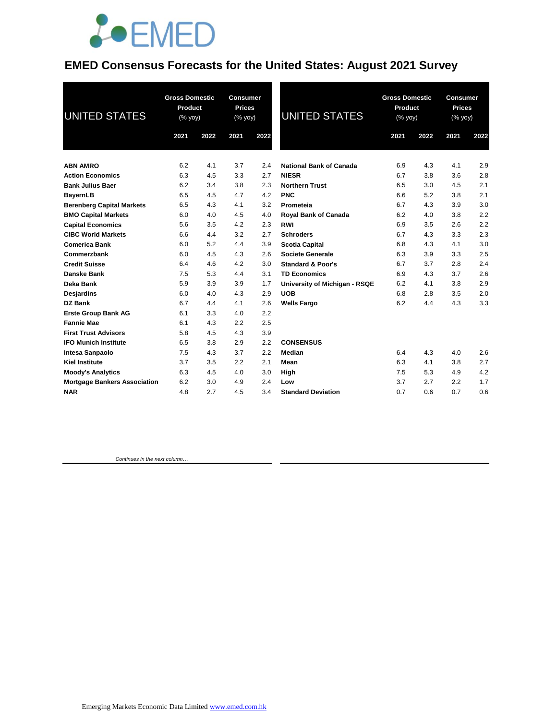

#### **EMED Consensus Forecasts for the United States: August 2021 Survey**

| <b>UNITED STATES</b>                | <b>Gross Domestic</b><br>Product<br>(% yoy) |      | <b>Consumer</b><br><b>Prices</b><br>(% yoy) |      | <b>UNITED STATES</b>           | <b>Gross Domestic</b><br>Product<br>(% yoy) |      | Consumer<br><b>Prices</b><br>(% yoy) |      |
|-------------------------------------|---------------------------------------------|------|---------------------------------------------|------|--------------------------------|---------------------------------------------|------|--------------------------------------|------|
|                                     | 2021                                        | 2022 | 2021                                        | 2022 |                                | 2021                                        | 2022 | 2021                                 | 2022 |
| <b>ABN AMRO</b>                     | 6.2                                         | 4.1  | 3.7                                         | 2.4  | <b>National Bank of Canada</b> | 6.9                                         | 4.3  | 4.1                                  | 2.9  |
| <b>Action Economics</b>             | 6.3                                         | 4.5  | 3.3                                         | 2.7  | <b>NIESR</b>                   | 6.7                                         | 3.8  | 3.6                                  | 2.8  |
| <b>Bank Julius Baer</b>             | 6.2                                         | 3.4  | 3.8                                         | 2.3  | <b>Northern Trust</b>          | 6.5                                         | 3.0  | 4.5                                  | 2.1  |
| <b>BayernLB</b>                     | 6.5                                         | 4.5  | 4.7                                         | 4.2  | <b>PNC</b>                     | 6.6                                         | 5.2  | 3.8                                  | 2.1  |
| <b>Berenberg Capital Markets</b>    | 6.5                                         | 4.3  | 4.1                                         | 3.2  | Prometeia                      | 6.7                                         | 4.3  | 3.9                                  | 3.0  |
| <b>BMO Capital Markets</b>          | 6.0                                         | 4.0  | 4.5                                         | 4.0  | Royal Bank of Canada           | 6.2                                         | 4.0  | 3.8                                  | 2.2  |
| <b>Capital Economics</b>            | 5.6                                         | 3.5  | 4.2                                         | 2.3  | <b>RWI</b>                     | 6.9                                         | 3.5  | 2.6                                  | 2.2  |
| <b>CIBC World Markets</b>           | 6.6                                         | 4.4  | 3.2                                         | 2.7  | <b>Schroders</b>               | 6.7                                         | 4.3  | 3.3                                  | 2.3  |
| <b>Comerica Bank</b>                | 6.0                                         | 5.2  | 4.4                                         | 3.9  | <b>Scotia Capital</b>          | 6.8                                         | 4.3  | 4.1                                  | 3.0  |
| Commerzbank                         | 6.0                                         | 4.5  | 4.3                                         | 2.6  | <b>Societe Generale</b>        | 6.3                                         | 3.9  | 3.3                                  | 2.5  |
| <b>Credit Suisse</b>                | 6.4                                         | 4.6  | 4.2                                         | 3.0  | <b>Standard &amp; Poor's</b>   | 6.7                                         | 3.7  | 2.8                                  | 2.4  |
| Danske Bank                         | 7.5                                         | 5.3  | 4.4                                         | 3.1  | <b>TD Economics</b>            | 6.9                                         | 4.3  | 3.7                                  | 2.6  |
| Deka Bank                           | 5.9                                         | 3.9  | 3.9                                         | 1.7  | University of Michigan - RSQE  | 6.2                                         | 4.1  | 3.8                                  | 2.9  |
| <b>Desjardins</b>                   | 6.0                                         | 4.0  | 4.3                                         | 2.9  | <b>UOB</b>                     | 6.8                                         | 2.8  | 3.5                                  | 2.0  |
| DZ Bank                             | 6.7                                         | 4.4  | 4.1                                         | 2.6  | <b>Wells Fargo</b>             | 6.2                                         | 4.4  | 4.3                                  | 3.3  |
| <b>Erste Group Bank AG</b>          | 6.1                                         | 3.3  | 4.0                                         | 2.2  |                                |                                             |      |                                      |      |
| <b>Fannie Mae</b>                   | 6.1                                         | 4.3  | 2.2                                         | 2.5  |                                |                                             |      |                                      |      |
| <b>First Trust Advisors</b>         | 5.8                                         | 4.5  | 4.3                                         | 3.9  |                                |                                             |      |                                      |      |
| <b>IFO Munich Institute</b>         | 6.5                                         | 3.8  | 2.9                                         | 2.2  | <b>CONSENSUS</b>               |                                             |      |                                      |      |
| Intesa Sanpaolo                     | 7.5                                         | 4.3  | 3.7                                         | 2.2  | Median                         | 6.4                                         | 4.3  | 4.0                                  | 2.6  |
| <b>Kiel Institute</b>               | 3.7                                         | 3.5  | 2.2                                         | 2.1  | Mean                           | 6.3                                         | 4.1  | 3.8                                  | 2.7  |
| <b>Moody's Analytics</b>            | 6.3                                         | 4.5  | 4.0                                         | 3.0  | High                           | 7.5                                         | 5.3  | 4.9                                  | 4.2  |
| <b>Mortgage Bankers Association</b> | 6.2                                         | 3.0  | 4.9                                         | 2.4  | Low                            | 3.7                                         | 2.7  | 2.2                                  | 1.7  |
| <b>NAR</b>                          | 4.8                                         | 2.7  | 4.5                                         | 3.4  | <b>Standard Deviation</b>      | 0.7                                         | 0.6  | 0.7                                  | 0.6  |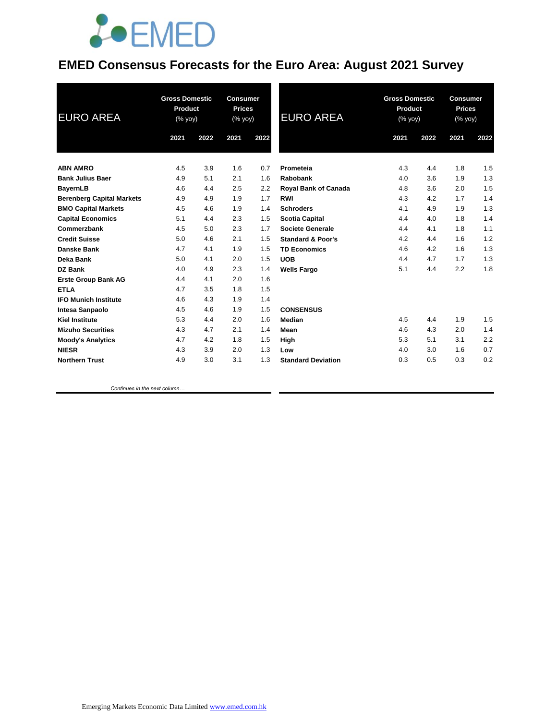

#### **EMED Consensus Forecasts for the Euro Area: August 2021 Survey**

| <b>EURO AREA</b>                 | <b>Gross Domestic</b><br><b>Product</b><br>(% yoy) |      | <b>Consumer</b><br><b>Prices</b><br>(% yoy) |      | <b>EURO AREA</b>             | <b>Gross Domestic</b><br><b>Product</b><br>(% yoy) |      | <b>Consumer</b><br><b>Prices</b><br>(% yoy) |      |
|----------------------------------|----------------------------------------------------|------|---------------------------------------------|------|------------------------------|----------------------------------------------------|------|---------------------------------------------|------|
|                                  | 2021                                               | 2022 | 2021                                        | 2022 |                              | 2021                                               | 2022 | 2021                                        | 2022 |
| <b>ABN AMRO</b>                  | 4.5                                                | 3.9  | 1.6                                         | 0.7  | Prometeia                    | 4.3                                                | 4.4  | 1.8                                         | 1.5  |
| <b>Bank Julius Baer</b>          | 4.9                                                | 5.1  | 2.1                                         | 1.6  | Rabobank                     | 4.0                                                | 3.6  | 1.9                                         | 1.3  |
| <b>BayernLB</b>                  | 4.6                                                | 4.4  | 2.5                                         | 2.2  | <b>Royal Bank of Canada</b>  | 4.8                                                | 3.6  | 2.0                                         | 1.5  |
| <b>Berenberg Capital Markets</b> | 4.9                                                | 4.9  | 1.9                                         | 1.7  | <b>RWI</b>                   | 4.3                                                | 4.2  | 1.7                                         | 1.4  |
| <b>BMO Capital Markets</b>       | 4.5                                                | 4.6  | 1.9                                         | 1.4  | <b>Schroders</b>             | 4.1                                                | 4.9  | 1.9                                         | 1.3  |
| <b>Capital Economics</b>         | 5.1                                                | 4.4  | 2.3                                         | 1.5  | <b>Scotia Capital</b>        | 4.4                                                | 4.0  | 1.8                                         | 1.4  |
| Commerzbank                      | 4.5                                                | 5.0  | 2.3                                         | 1.7  | <b>Societe Generale</b>      | 4.4                                                | 4.1  | 1.8                                         | 1.1  |
| <b>Credit Suisse</b>             | 5.0                                                | 4.6  | 2.1                                         | 1.5  | <b>Standard &amp; Poor's</b> | 4.2                                                | 4.4  | 1.6                                         | 1.2  |
| Danske Bank                      | 4.7                                                | 4.1  | 1.9                                         | 1.5  | <b>TD Economics</b>          | 4.6                                                | 4.2  | 1.6                                         | 1.3  |
| Deka Bank                        | 5.0                                                | 4.1  | 2.0                                         | 1.5  | <b>UOB</b>                   | 4.4                                                | 4.7  | 1.7                                         | 1.3  |
| <b>DZ Bank</b>                   | 4.0                                                | 4.9  | 2.3                                         | 1.4  | <b>Wells Fargo</b>           | 5.1                                                | 4.4  | 2.2                                         | 1.8  |
| <b>Erste Group Bank AG</b>       | 4.4                                                | 4.1  | 2.0                                         | 1.6  |                              |                                                    |      |                                             |      |
| <b>ETLA</b>                      | 4.7                                                | 3.5  | 1.8                                         | 1.5  |                              |                                                    |      |                                             |      |
| <b>IFO Munich Institute</b>      | 4.6                                                | 4.3  | 1.9                                         | 1.4  |                              |                                                    |      |                                             |      |
| <b>Intesa Sanpaolo</b>           | 4.5                                                | 4.6  | 1.9                                         | 1.5  | <b>CONSENSUS</b>             |                                                    |      |                                             |      |
| <b>Kiel Institute</b>            | 5.3                                                | 4.4  | 2.0                                         | 1.6  | Median                       | 4.5                                                | 4.4  | 1.9                                         | 1.5  |
| <b>Mizuho Securities</b>         | 4.3                                                | 4.7  | 2.1                                         | 1.4  | Mean                         | 4.6                                                | 4.3  | 2.0                                         | 1.4  |
| <b>Moody's Analytics</b>         | 4.7                                                | 4.2  | 1.8                                         | 1.5  | High                         | 5.3                                                | 5.1  | 3.1                                         | 2.2  |
| <b>NIESR</b>                     | 4.3                                                | 3.9  | 2.0                                         | 1.3  | Low                          | 4.0                                                | 3.0  | 1.6                                         | 0.7  |
| <b>Northern Trust</b>            | 4.9                                                | 3.0  | 3.1                                         | 1.3  | <b>Standard Deviation</b>    | 0.3                                                | 0.5  | 0.3                                         | 0.2  |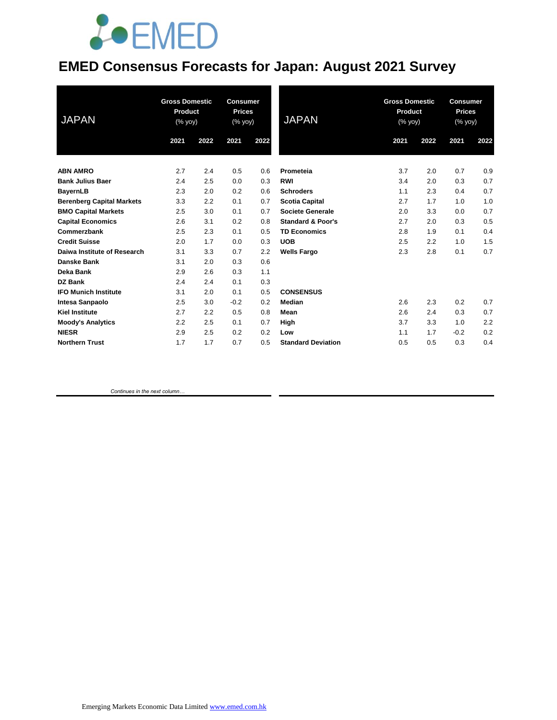## **JOEMED**

### **EMED Consensus Forecasts for Japan: August 2021 Survey**

| <b>JAPAN</b>                     | <b>Gross Domestic</b><br><b>Product</b><br>(% yoy) |      | <b>Consumer</b><br><b>Prices</b><br>$(% \mathsf{Y}\cup \mathsf{Y})$ |      | <b>JAPAN</b>                 | <b>Gross Domestic</b><br>Product<br>(% yoy) |      | <b>Consumer</b><br><b>Prices</b><br>(% yoy) |      |
|----------------------------------|----------------------------------------------------|------|---------------------------------------------------------------------|------|------------------------------|---------------------------------------------|------|---------------------------------------------|------|
|                                  | 2021                                               | 2022 | 2021                                                                | 2022 |                              | 2021                                        | 2022 | 2021                                        | 2022 |
| <b>ABN AMRO</b>                  | 2.7                                                | 2.4  | 0.5                                                                 | 0.6  | Prometeia                    | 3.7                                         | 2.0  | 0.7                                         | 0.9  |
| <b>Bank Julius Baer</b>          | 2.4                                                | 2.5  | 0.0                                                                 | 0.3  | <b>RWI</b>                   | 3.4                                         | 2.0  | 0.3                                         | 0.7  |
| <b>BayernLB</b>                  | 2.3                                                | 2.0  | 0.2                                                                 | 0.6  | <b>Schroders</b>             | 1.1                                         | 2.3  | 0.4                                         | 0.7  |
| <b>Berenberg Capital Markets</b> | 3.3                                                | 2.2  | 0.1                                                                 | 0.7  | <b>Scotia Capital</b>        | 2.7                                         | 1.7  | 1.0                                         | 1.0  |
| <b>BMO Capital Markets</b>       | 2.5                                                | 3.0  | 0.1                                                                 | 0.7  | Societe Generale             | 2.0                                         | 3.3  | 0.0                                         | 0.7  |
| <b>Capital Economics</b>         | 2.6                                                | 3.1  | 0.2                                                                 | 0.8  | <b>Standard &amp; Poor's</b> | 2.7                                         | 2.0  | 0.3                                         | 0.5  |
| Commerzbank                      | 2.5                                                | 2.3  | 0.1                                                                 | 0.5  | <b>TD Economics</b>          | 2.8                                         | 1.9  | 0.1                                         | 0.4  |
| <b>Credit Suisse</b>             | 2.0                                                | 1.7  | 0.0                                                                 | 0.3  | <b>UOB</b>                   | 2.5                                         | 2.2  | 1.0                                         | 1.5  |
| Daiwa Institute of Research      | 3.1                                                | 3.3  | 0.7                                                                 | 2.2  | <b>Wells Fargo</b>           | 2.3                                         | 2.8  | 0.1                                         | 0.7  |
| Danske Bank                      | 3.1                                                | 2.0  | 0.3                                                                 | 0.6  |                              |                                             |      |                                             |      |
| <b>Deka Bank</b>                 | 2.9                                                | 2.6  | 0.3                                                                 | 1.1  |                              |                                             |      |                                             |      |
| DZ Bank                          | 2.4                                                | 2.4  | 0.1                                                                 | 0.3  |                              |                                             |      |                                             |      |
| <b>IFO Munich Institute</b>      | 3.1                                                | 2.0  | 0.1                                                                 | 0.5  | <b>CONSENSUS</b>             |                                             |      |                                             |      |
| <b>Intesa Sanpaolo</b>           | 2.5                                                | 3.0  | $-0.2$                                                              | 0.2  | Median                       | 2.6                                         | 2.3  | 0.2                                         | 0.7  |
| <b>Kiel Institute</b>            | 2.7                                                | 2.2  | 0.5                                                                 | 0.8  | Mean                         | 2.6                                         | 2.4  | 0.3                                         | 0.7  |
| <b>Moody's Analytics</b>         | 2.2                                                | 2.5  | 0.1                                                                 | 0.7  | High                         | 3.7                                         | 3.3  | 1.0                                         | 2.2  |
| <b>NIESR</b>                     | 2.9                                                | 2.5  | 0.2                                                                 | 0.2  | Low                          | 1.1                                         | 1.7  | $-0.2$                                      | 0.2  |
| <b>Northern Trust</b>            | 1.7                                                | 1.7  | 0.7                                                                 | 0.5  | <b>Standard Deviation</b>    | 0.5                                         | 0.5  | 0.3                                         | 0.4  |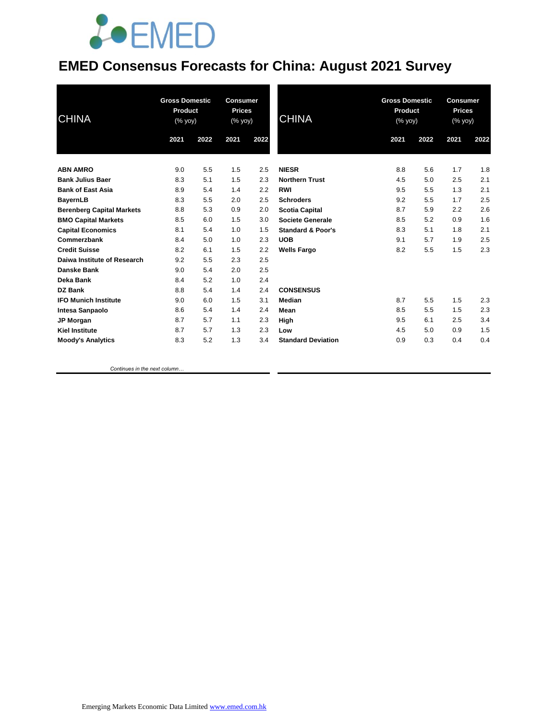## **JOEMED**

#### **EMED Consensus Forecasts for China: August 2021 Survey**

| <b>CHINA</b>                     | <b>Gross Domestic</b><br>Product<br>(% yoy) |      | <b>Consumer</b><br><b>Prices</b><br>(% yoy) |      | <b>CHINA</b>                 |      | <b>Gross Domestic</b><br>Product<br>(% yoy) |      | <b>Consumer</b><br><b>Prices</b><br>(% yoy) |  |
|----------------------------------|---------------------------------------------|------|---------------------------------------------|------|------------------------------|------|---------------------------------------------|------|---------------------------------------------|--|
|                                  | 2021                                        | 2022 | 2021                                        | 2022 |                              | 2021 | 2022                                        | 2021 | 2022                                        |  |
| <b>ABN AMRO</b>                  | 9.0                                         | 5.5  | 1.5                                         | 2.5  | <b>NIESR</b>                 | 8.8  | 5.6                                         | 1.7  | 1.8                                         |  |
| <b>Bank Julius Baer</b>          | 8.3                                         | 5.1  | 1.5                                         | 2.3  | <b>Northern Trust</b>        | 4.5  | 5.0                                         | 2.5  | 2.1                                         |  |
| <b>Bank of East Asia</b>         | 8.9                                         | 5.4  | 1.4                                         | 2.2  | <b>RWI</b>                   | 9.5  | 5.5                                         | 1.3  | 2.1                                         |  |
| <b>BayernLB</b>                  | 8.3                                         | 5.5  | 2.0                                         | 2.5  | <b>Schroders</b>             | 9.2  | 5.5                                         | 1.7  | 2.5                                         |  |
| <b>Berenberg Capital Markets</b> | 8.8                                         | 5.3  | 0.9                                         | 2.0  | <b>Scotia Capital</b>        | 8.7  | 5.9                                         | 2.2  | 2.6                                         |  |
| <b>BMO Capital Markets</b>       | 8.5                                         | 6.0  | 1.5                                         | 3.0  | Societe Generale             | 8.5  | 5.2                                         | 0.9  | 1.6                                         |  |
| <b>Capital Economics</b>         | 8.1                                         | 5.4  | 1.0                                         | 1.5  | <b>Standard &amp; Poor's</b> | 8.3  | 5.1                                         | 1.8  | 2.1                                         |  |
| Commerzbank                      | 8.4                                         | 5.0  | 1.0                                         | 2.3  | <b>UOB</b>                   | 9.1  | 5.7                                         | 1.9  | 2.5                                         |  |
| <b>Credit Suisse</b>             | 8.2                                         | 6.1  | 1.5                                         | 2.2  | <b>Wells Fargo</b>           | 8.2  | 5.5                                         | 1.5  | 2.3                                         |  |
| Daiwa Institute of Research      | 9.2                                         | 5.5  | 2.3                                         | 2.5  |                              |      |                                             |      |                                             |  |
| <b>Danske Bank</b>               | 9.0                                         | 5.4  | 2.0                                         | 2.5  |                              |      |                                             |      |                                             |  |
| Deka Bank                        | 8.4                                         | 5.2  | 1.0                                         | 2.4  |                              |      |                                             |      |                                             |  |
| DZ Bank                          | 8.8                                         | 5.4  | 1.4                                         | 2.4  | <b>CONSENSUS</b>             |      |                                             |      |                                             |  |
| <b>IFO Munich Institute</b>      | 9.0                                         | 6.0  | 1.5                                         | 3.1  | Median                       | 8.7  | 5.5                                         | 1.5  | 2.3                                         |  |
| <b>Intesa Sanpaolo</b>           | 8.6                                         | 5.4  | 1.4                                         | 2.4  | Mean                         | 8.5  | 5.5                                         | 1.5  | 2.3                                         |  |
| <b>JP Morgan</b>                 | 8.7                                         | 5.7  | 1.1                                         | 2.3  | High                         | 9.5  | 6.1                                         | 2.5  | 3.4                                         |  |
| <b>Kiel Institute</b>            | 8.7                                         | 5.7  | 1.3                                         | 2.3  | Low                          | 4.5  | 5.0                                         | 0.9  | 1.5                                         |  |
| <b>Moody's Analytics</b>         | 8.3                                         | 5.2  | 1.3                                         | 3.4  | <b>Standard Deviation</b>    | 0.9  | 0.3                                         | 0.4  | 0.4                                         |  |